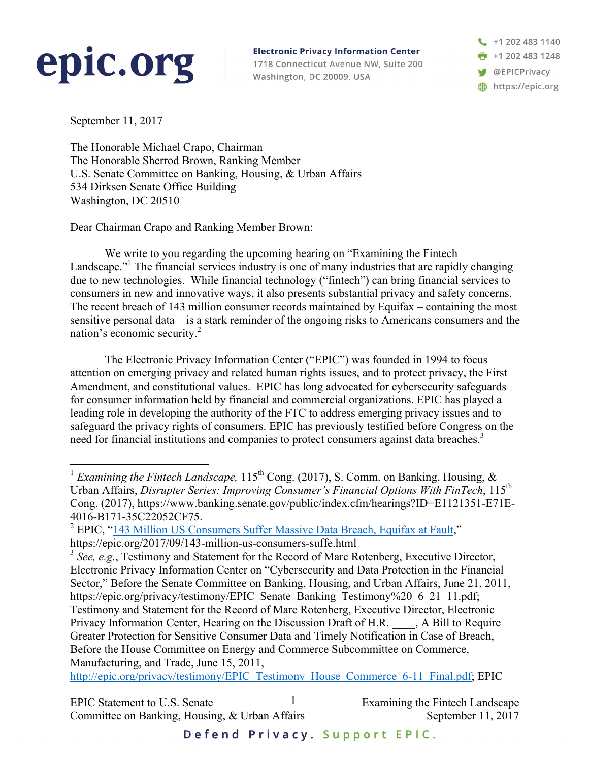## epic.org

**Electronic Privacy Information Center** 

1718 Connecticut Avenue NW, Suite 200 Washington, DC 20009, USA

+1 202 483 1140  $\frac{1}{2}$  +1 202 483 1248 **W** @EPICPrivacy https://epic.org

September 11, 2017

The Honorable Michael Crapo, Chairman The Honorable Sherrod Brown, Ranking Member U.S. Senate Committee on Banking, Housing, & Urban Affairs 534 Dirksen Senate Office Building Washington, DC 20510

Dear Chairman Crapo and Ranking Member Brown:

We write to you regarding the upcoming hearing on "Examining the Fintech Landscape."<sup>1</sup> The financial services industry is one of many industries that are rapidly changing due to new technologies. While financial technology ("fintech") can bring financial services to consumers in new and innovative ways, it also presents substantial privacy and safety concerns. The recent breach of 143 million consumer records maintained by Equifax – containing the most sensitive personal data – is a stark reminder of the ongoing risks to Americans consumers and the nation's economic security.2

The Electronic Privacy Information Center ("EPIC") was founded in 1994 to focus attention on emerging privacy and related human rights issues, and to protect privacy, the First Amendment, and constitutional values. EPIC has long advocated for cybersecurity safeguards for consumer information held by financial and commercial organizations. EPIC has played a leading role in developing the authority of the FTC to address emerging privacy issues and to safeguard the privacy rights of consumers. EPIC has previously testified before Congress on the need for financial institutions and companies to protect consumers against data breaches.<sup>3</sup>

http://epic.org/privacy/testimony/EPIC\_Testimony\_House\_Commerce\_6-11\_Final.pdf; EPIC

EPIC Statement to U.S. Senate  $\frac{1}{1}$  Examining the Fintech Landscape Committee on Banking, Housing, & Urban Affairs September 11, 2017 1

<sup>&</sup>lt;sup>1</sup> *Examining the Fintech Landscape*,  $115<sup>th</sup>$  Cong. (2017), S. Comm. on Banking, Housing, & Urban Affairs, *Disrupter Series: Improving Consumer's Financial Options With FinTech*, 115th Cong. (2017), https://www.banking.senate.gov/public/index.cfm/hearings?ID=E1121351-E71E-4016-B171-35C22052CF75.<br><sup>2</sup> EPIC, "143 Million US Consumers Suffer Massive Data Breach, Equifax at Fault,"

https://epic.org/2017/09/143-million-us-consumers-suffe.html

<sup>&</sup>lt;sup>3</sup> See, e.g., Testimony and Statement for the Record of Marc Rotenberg, Executive Director, Electronic Privacy Information Center on "Cybersecurity and Data Protection in the Financial Sector," Before the Senate Committee on Banking, Housing, and Urban Affairs, June 21, 2011, https://epic.org/privacy/testimony/EPIC\_Senate\_Banking\_Testimony%20\_6\_21\_11.pdf; Testimony and Statement for the Record of Marc Rotenberg, Executive Director, Electronic Privacy Information Center, Hearing on the Discussion Draft of H.R. \_\_\_\_, A Bill to Require Greater Protection for Sensitive Consumer Data and Timely Notification in Case of Breach, Before the House Committee on Energy and Commerce Subcommittee on Commerce, Manufacturing, and Trade, June 15, 2011,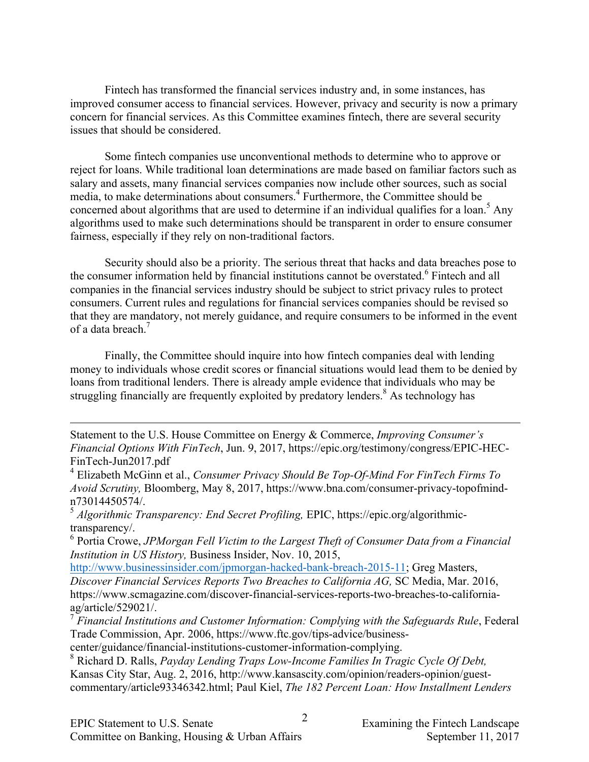Fintech has transformed the financial services industry and, in some instances, has improved consumer access to financial services. However, privacy and security is now a primary concern for financial services. As this Committee examines fintech, there are several security issues that should be considered.

Some fintech companies use unconventional methods to determine who to approve or reject for loans. While traditional loan determinations are made based on familiar factors such as salary and assets, many financial services companies now include other sources, such as social media, to make determinations about consumers. <sup>4</sup> Furthermore, the Committee should be concerned about algorithms that are used to determine if an individual qualifies for a loan.<sup>5</sup> Any algorithms used to make such determinations should be transparent in order to ensure consumer fairness, especially if they rely on non-traditional factors.

Security should also be a priority. The serious threat that hacks and data breaches pose to the consumer information held by financial institutions cannot be overstated.<sup>6</sup> Fintech and all companies in the financial services industry should be subject to strict privacy rules to protect consumers. Current rules and regulations for financial services companies should be revised so that they are mandatory, not merely guidance, and require consumers to be informed in the event of a data breach. 7

Finally, the Committee should inquire into how fintech companies deal with lending money to individuals whose credit scores or financial situations would lead them to be denied by loans from traditional lenders. There is already ample evidence that individuals who may be struggling financially are frequently exploited by predatory lenders.<sup>8</sup> As technology has

Statement to the U.S. House Committee on Energy & Commerce, *Improving Consumer's Financial Options With FinTech*, Jun. 9, 2017, https://epic.org/testimony/congress/EPIC-HEC-FinTech-Jun2017.pdf

<sup>5</sup> *Algorithmic Transparency: End Secret Profiling, EPIC, https://epic.org/algorithmic*transparency/.

<sup>6</sup> Portia Crowe, *JPMorgan Fell Victim to the Largest Theft of Consumer Data from a Financial Institution in US History,* Business Insider, Nov. 10, 2015,

http://www.businessinsider.com/jpmorgan-hacked-bank-breach-2015-11; Greg Masters,

*Discover Financial Services Reports Two Breaches to California AG,* SC Media, Mar. 2016, https://www.scmagazine.com/discover-financial-services-reports-two-breaches-to-californiaag/article/529021/.

<sup>7</sup> *Financial Institutions and Customer Information: Complying with the Safeguards Rule*, Federal Trade Commission, Apr. 2006, https://www.ftc.gov/tips-advice/businesscenter/guidance/financial-institutions-customer-information-complying.

<sup>8</sup> Richard D. Ralls, *Payday Lending Traps Low-Income Families In Tragic Cycle Of Debt,*  Kansas City Star, Aug. 2, 2016, http://www.kansascity.com/opinion/readers-opinion/guestcommentary/article93346342.html; Paul Kiel, *The 182 Percent Loan: How Installment Lenders* 

 $\overline{a}$ 

<sup>4</sup> Elizabeth McGinn et al., *Consumer Privacy Should Be Top-Of-Mind For FinTech Firms To Avoid Scrutiny,* Bloomberg, May 8, 2017, https://www.bna.com/consumer-privacy-topofmindn73014450574/.